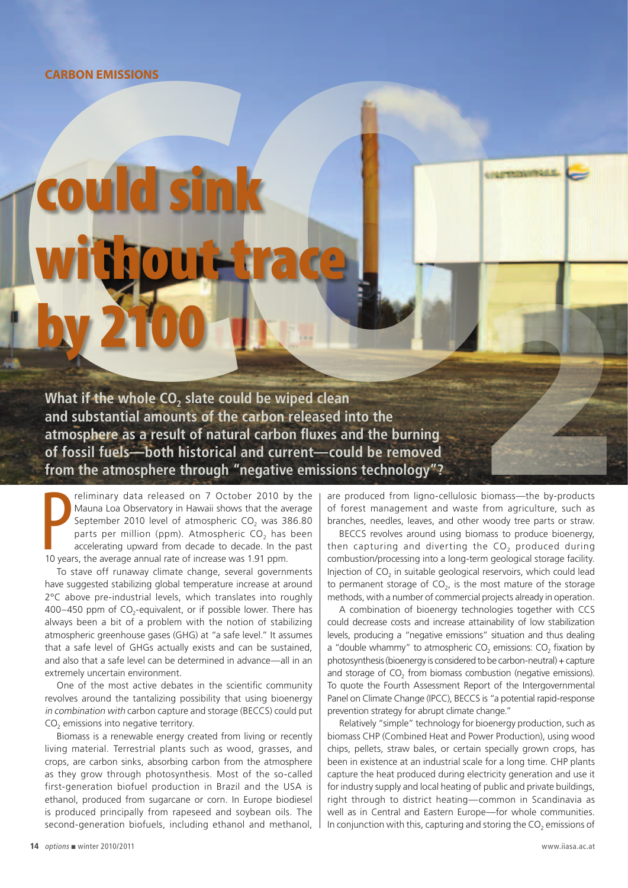## **Carbon emissions**

## CARBON EMISSIONS<br> **COULE SINK**<br>
Wind if the whole CO, slate could be wiped clean<br>
and substantial amounts of the carbon released into the<br>
and substantial amounts of the carbon released into the<br>
atmosphere as a result of d sink without trace by 2100

What if the whole CO<sub>2</sub> slate could be wiped clean **and substantial amounts of the carbon released into the atmosphere as a result of natural carbon fluxes and the burning of fossil fuels—both historical and current—could be removed from the atmosphere through "negative emissions technology"?** 2

**PEREM FRANCE SET ASSEM SCHOOLS MANUS CONCRETED MANUSTER SUPPREND AND SUPPREND TO A SUPPREND A SUPPREND AND SPACE CO<sub>2</sub> has accelerating upward from decade to decade. In the 10 years, the average annual rate of increase wa** reliminary data released on 7 October 2010 by the Mauna Loa Observatory in Hawaii shows that the average September 2010 level of atmospheric CO<sub>2</sub> was 386.80 parts per million (ppm). Atmospheric  $CO<sub>2</sub>$  has been accelerating upward from decade to decade. In the past

To stave off runaway climate change, several governments have suggested stabilizing global temperature increase at around 2ºC above pre-industrial levels, which translates into roughly 400–450 ppm of CO<sub>2</sub>-equivalent, or if possible lower. There has always been a bit of a problem with the notion of stabilizing atmospheric greenhouse gases (GHG) at "a safe level." It assumes that a safe level of GHGs actually exists and can be sustained, and also that a safe level can be determined in advance—all in an extremely uncertain environment.

One of the most active debates in the scientific community revolves around the tantalizing possibility that using bioenergy in combination with carbon capture and storage (BECCS) could put CO<sub>2</sub> emissions into negative territory.

Biomass is a renewable energy created from living or recently living material. Terrestrial plants such as wood, grasses, and crops, are carbon sinks, absorbing carbon from the atmosphere as they grow through photosynthesis. Most of the so-called first-generation biofuel production in Brazil and the USA is ethanol, produced from sugarcane or corn. In Europe biodiesel is produced principally from rapeseed and soybean oils. The second-generation biofuels, including ethanol and methanol, are produced from ligno-cellulosic biomass—the by-products of forest management and waste from agriculture, such as branches, needles, leaves, and other woody tree parts or straw.

BECCS revolves around using biomass to produce bioenergy, then capturing and diverting the  $CO<sub>2</sub>$  produced during combustion/processing into a long-term geological storage facility. Injection of CO<sub>2</sub> in suitable geological reservoirs, which could lead to permanent storage of  $CO<sub>2</sub>$ , is the most mature of the storage methods, with a number of commercial projects already in operation.

A combination of bioenergy technologies together with CCS could decrease costs and increase attainability of low stabilization levels, producing a "negative emissions" situation and thus dealing a "double whammy" to atmospheric  $CO<sub>2</sub>$  emissions:  $CO<sub>2</sub>$  fixation by photosynthesis (bioenergy is considered to be carbon-neutral) + capture and storage of CO<sub>2</sub> from biomass combustion (negative emissions). To quote the Fourth Assessment Report of the Intergovernmental Panel on Climate Change (IPCC), BECCS is "a potential rapid-response prevention strategy for abrupt climate change."

Relatively "simple" technology for bioenergy production, such as biomass CHP (Combined Heat and Power Production), using wood chips, pellets, straw bales, or certain specially grown crops, has been in existence at an industrial scale for a long time. CHP plants capture the heat produced during electricity generation and use it for industry supply and local heating of public and private buildings, right through to district heating—common in Scandinavia as well as in Central and Eastern Europe—for whole communities. In conjunction with this, capturing and storing the CO<sub>2</sub> emissions of